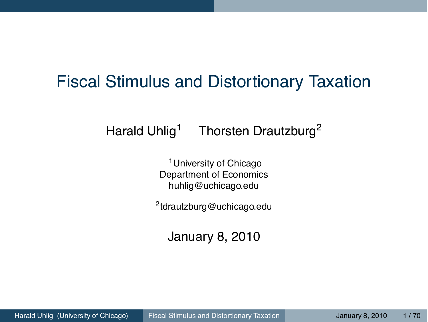## Fiscal Stimulus and Distortionary Taxation

#### Harald Uhlig<sup>1</sup> Thorsten Drautzburg<sup>2</sup>

<sup>1</sup> University of Chicago Department of Economics huhlig@uchicago.edu

2tdrautzburg@uchicago.edu

<span id="page-0-0"></span>January 8, 2010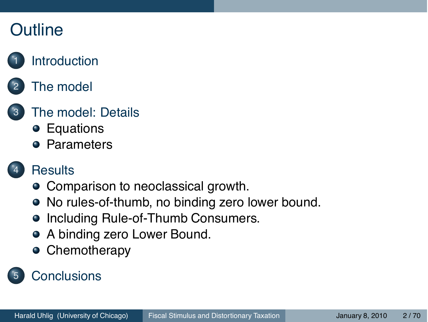## **Outline**

## **[Introduction](#page-2-0)**

## [The model](#page-7-0)

#### [The model: Details](#page-11-0)

- [Equations](#page-12-0)
- **•** [Parameters](#page-20-0)

#### **[Results](#page-24-0)**

- [Comparison to neoclassical growth.](#page-25-0)
- [No rules-of-thumb, no binding zero lower bound.](#page-29-0)
- [Including Rule-of-Thumb Consumers.](#page-37-0)
- [A binding zero Lower Bound.](#page-45-0)
- **•** [Chemotherapy](#page-53-0)

## **[Conclusions](#page-68-0)**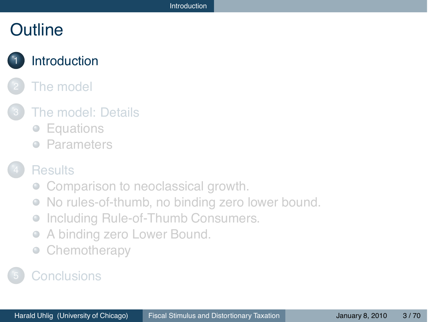## **Outline**

## **[Introduction](#page-2-0)**

#### [The model](#page-7-0)

#### [The model: Details](#page-11-0)

- [Equations](#page-12-0)
- **[Parameters](#page-20-0)**

#### **[Results](#page-24-0)**

- [Comparison to neoclassical growth.](#page-25-0)
- [No rules-of-thumb, no binding zero lower bound.](#page-29-0)  $\begin{array}{ccc} \bullet & \bullet & \bullet \\ \bullet & \bullet & \bullet \end{array}$
- [Including Rule-of-Thumb Consumers.](#page-37-0)  $\qquad \qquad \bullet$
- [A binding zero Lower Bound.](#page-45-0)  $\qquad \qquad \bullet$
- <span id="page-2-0"></span>[Chemotherapy](#page-53-0)  $\qquad \qquad \bullet$

#### **[Conclusions](#page-68-0)**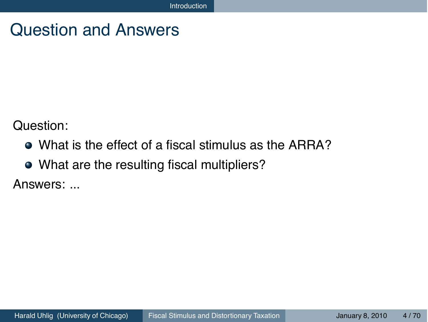## Question and Answers

Question:

- What is the effect of a fiscal stimulus as the ARRA?
- What are the resulting fiscal multipliers?

Answers: ...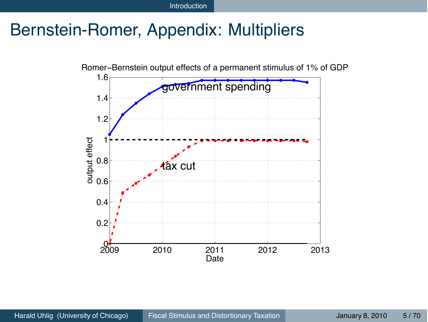Introduction

## Bernstein-Romer, Appendix: Multipliers

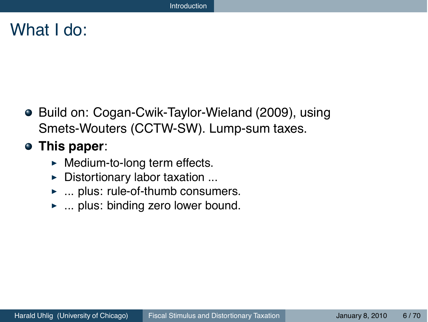#### What I do:

● Build on: Cogan-Cwik-Taylor-Wieland (2009), using Smets-Wouters (CCTW-SW). Lump-sum taxes.

#### **This paper**:

- ▶ Medium-to-long term effects.
- **Distortionary labor taxation ...**
- ▶ ... plus: rule-of-thumb consumers.
- ... plus: binding zero lower bound.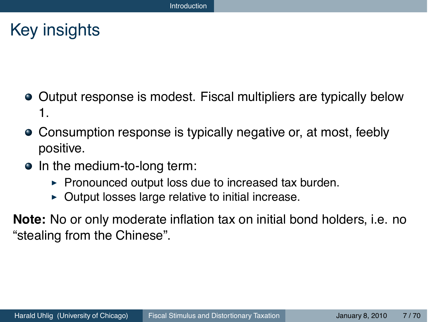## Key insights

- Output response is modest. Fiscal multipliers are typically below 1.
- Consumption response is typically negative or, at most, feebly positive.
- In the medium-to-long term:
	- $\triangleright$  Pronounced output loss due to increased tax burden.
	- $\triangleright$  Output losses large relative to initial increase.
- **Note:** No or only moderate inflation tax on initial bond holders, i.e. no "stealing from the Chinese".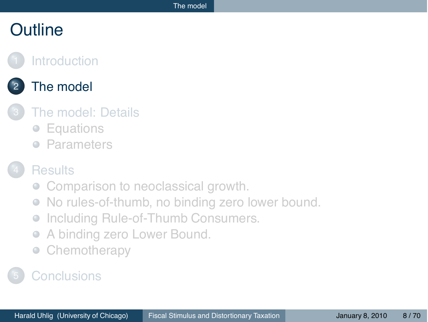## **Outline**

#### **[Introduction](#page-2-0)**

### [The model](#page-7-0)

#### [The model: Details](#page-11-0)

- [Equations](#page-12-0)
- **[Parameters](#page-20-0)**

#### **[Results](#page-24-0)**

- [Comparison to neoclassical growth.](#page-25-0)
- [No rules-of-thumb, no binding zero lower bound.](#page-29-0)  $\begin{array}{ccc} \bullet & \bullet & \bullet \\ \bullet & \bullet & \bullet \end{array}$
- [Including Rule-of-Thumb Consumers.](#page-37-0)  $\qquad \qquad \bullet$
- [A binding zero Lower Bound.](#page-45-0)  $\qquad \qquad \bullet$
- <span id="page-7-0"></span>[Chemotherapy](#page-53-0)  $\begin{array}{ccc} \bullet & \bullet & \bullet \\ \bullet & \bullet & \bullet \end{array}$

#### **[Conclusions](#page-68-0)**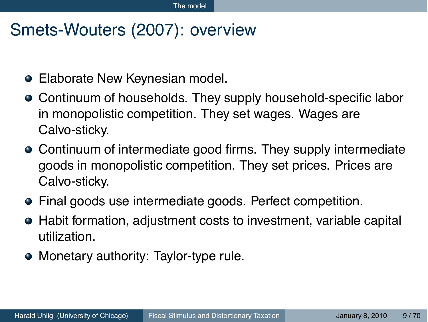## Smets-Wouters (2007): overview

- Elaborate New Keynesian model.
- Continuum of households. They supply household-specific labor in monopolistic competition. They set wages. Wages are Calvo-sticky.
- Continuum of intermediate good firms. They supply intermediate goods in monopolistic competition. They set prices. Prices are Calvo-sticky.
- Final goods use intermediate goods. Perfect competition.
- Habit formation, adjustment costs to investment, variable capital utilization.
- Monetary authority: Taylor-type rule.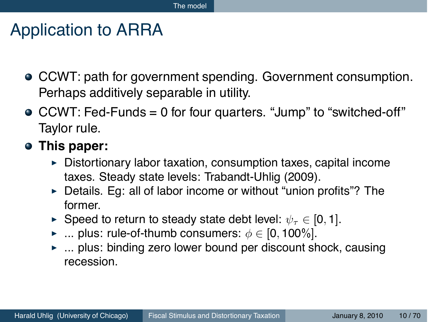## Application to ARRA

- CCWT: path for government spending. Government consumption. Perhaps additively separable in utility.
- CCWT: Fed-Funds = 0 for four quarters. "Jump" to "switched-off" Taylor rule.
- **This paper:**
	- ! Distortionary labor taxation, consumption taxes, capital income taxes. Steady state levels: Trabandt-Uhlig (2009).
	- **EXECT:** Details. Eg: all of labor income or without "union profits"? The former.
	- ► Speed to return to steady state debt level:  $\psi_{\tau} \in [0, 1]$ .
	- $\triangleright$  ... plus: rule-of-thumb consumers:  $\phi \in [0, 100\%]$ .
	- ► ... plus: binding zero lower bound per discount shock, causing recession.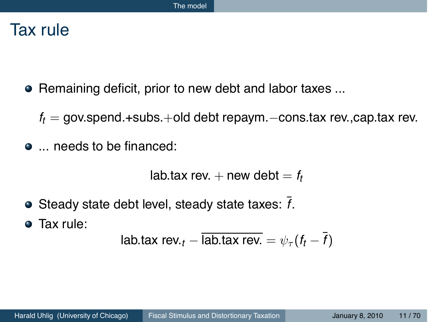## Tax rule

- Remaining deficit, prior to new debt and labor taxes ...
	- *ft* = gov.spend.+subs.+old debt repaym.−cons.tax rev.,cap.tax rev.
- $\bullet$  ... needs to be financed:

lab.tax rev.  $+$  new debt  $= f_t$ 

- $\bullet$  Steady state debt level, steady state taxes:  $\overline{f}$ .
- Tax rule:

lab.tax rev.<sub>t</sub> – ~~lab.tax rev.~~ = 
$$
\psi_{\tau}(f_t - \bar{f})
$$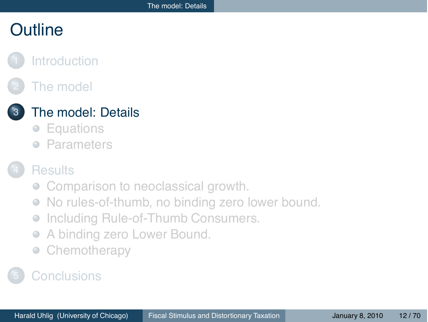## **Outline**

#### **[Introduction](#page-2-0)**

## [The model](#page-7-0)

#### [The model: Details](#page-11-0)

- [Equations](#page-12-0)
- **[Parameters](#page-20-0)**

#### **[Results](#page-24-0)**

- [Comparison to neoclassical growth.](#page-25-0)
- [No rules-of-thumb, no binding zero lower bound.](#page-29-0)  $\begin{array}{ccc} \bullet & \bullet & \bullet \\ \bullet & \bullet & \bullet \end{array}$
- [Including Rule-of-Thumb Consumers.](#page-37-0)  $\qquad \qquad \bullet$
- [A binding zero Lower Bound.](#page-45-0)  $\qquad \qquad \bullet$
- <span id="page-11-0"></span>[Chemotherapy](#page-53-0)  $\qquad \qquad \bullet$

#### **[Conclusions](#page-68-0)**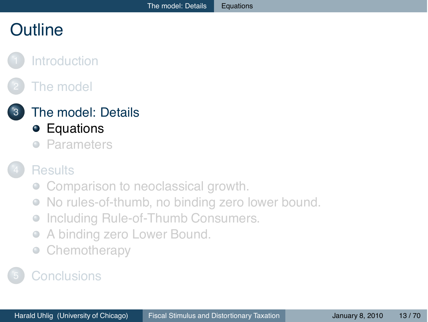# **Outline**

### **[Introduction](#page-2-0)**

## [The model](#page-7-0)



[The model: Details](#page-11-0)

- **•** [Equations](#page-12-0)
- [Parameters](#page-20-0)  $\qquad \qquad \Box$

#### **[Results](#page-24-0)**

- [Comparison to neoclassical growth.](#page-25-0)
- [No rules-of-thumb, no binding zero lower bound.](#page-29-0)  $\begin{array}{ccc} \bullet & \bullet & \bullet \\ \bullet & \bullet & \bullet \end{array}$
- [Including Rule-of-Thumb Consumers.](#page-37-0)  $\qquad \qquad \bullet$
- [A binding zero Lower Bound.](#page-45-0)  $\qquad \qquad \bullet$
- <span id="page-12-0"></span>[Chemotherapy](#page-53-0)  $\qquad \qquad \bullet$

## **[Conclusions](#page-68-0)**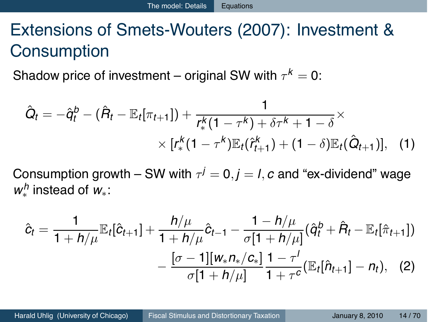# Extensions of Smets-Wouters (2007): Investment & **Consumption**

Shadow price of investment – original SW with  $\tau^k = 0$ :

$$
\hat{Q}_t = -\hat{q}_t^b - (\hat{R}_t - \mathbb{E}_t[\pi_{t+1}]) + \frac{1}{r_*^k(1 - \tau^k) + \delta\tau^k + 1 - \delta} \times \\ \times [r_*^k(1 - \tau^k)\mathbb{E}_t(\hat{r}_{t+1}^k) + (1 - \delta)\mathbb{E}_t(\hat{Q}_{t+1})], \quad (1)
$$

Consumption growth – SW with  $\tau^{j} = 0$ ,  $j = l$ , c and "ex-dividend" wage *w<sup>h</sup>* ∗ instead of *w*∗:

$$
\hat{c}_t = \frac{1}{1 + h/\mu} \mathbb{E}_t[\hat{c}_{t+1}] + \frac{h/\mu}{1 + h/\mu} \hat{c}_{t-1} - \frac{1 - h/\mu}{\sigma[1 + h/\mu]} (\hat{q}_t^b + \hat{R}_t - \mathbb{E}_t[\hat{\pi}_{t+1}])
$$

$$
- \frac{[\sigma - 1][w_* n_*/c_*]}{\sigma[1 + h/\mu]} \frac{1 - \tau'}{1 + \tau^c} (\mathbb{E}_t[\hat{n}_{t+1}] - n_t), \quad (2)
$$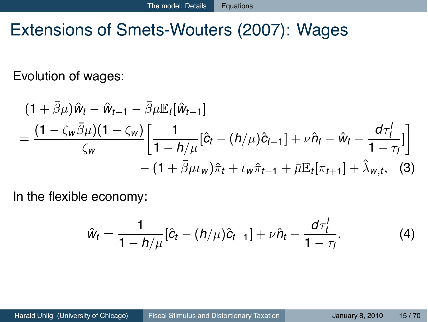## Extensions of Smets-Wouters (2007): Wages

Evolution of wages:

$$
(1 + \bar{\beta}\mu)\hat{w}_t - \hat{w}_{t-1} - \bar{\beta}\mu \mathbb{E}_t[\hat{w}_{t+1}]
$$
  
= 
$$
\frac{(1 - \zeta_w \bar{\beta}\mu)(1 - \zeta_w)}{\zeta_w} \left[ \frac{1}{1 - h/\mu} [\hat{c}_t - (h/\mu)\hat{c}_{t-1}] + \nu \hat{n}_t - \hat{w}_t + \frac{d\tau_t^1}{1 - \tau_t^1} \right]
$$
  
- 
$$
(1 + \bar{\beta}\mu\omega)\hat{\pi}_t + \iota_w \hat{\pi}_{t-1} + \bar{\mu} \mathbb{E}_t[\pi_{t+1}] + \hat{\lambda}_{w,t}, \quad (3)
$$

In the flexible economy:

$$
\hat{w}_t = \frac{1}{1 - h/\mu} [\hat{c}_t - (h/\mu)\hat{c}_{t-1}] + \nu \hat{n}_t + \frac{d\tau_t^1}{1 - \tau_t}.
$$
 (4)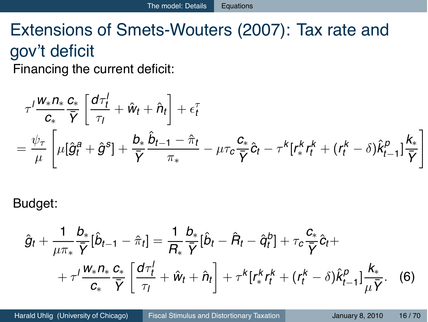# Extensions of Smets-Wouters (2007): Tax rate and gov't deficit

Financing the current deficit:

$$
\tau^I \frac{w_* n_*}{c_*} \frac{c_*}{\bar{Y}} \left[ \frac{d\tau_t^I}{\tau_I} + \hat{w}_t + \hat{n}_t \right] + \epsilon_t^{\tau}
$$
\n
$$
= \frac{\psi_{\tau}}{\mu} \left[ \mu [\hat{g}_t^a + \hat{g}^s] + \frac{b_*}{\bar{Y}} \frac{\hat{b}_{t-1} - \hat{\pi}_t}{\pi_*} - \mu \tau_c \frac{c_*}{\bar{Y}} \hat{c}_t - \tau^k [r_*^k r_t^k + (r_t^k - \delta) \hat{k}_{t-1}^p] \frac{k_*}{\bar{Y}} \right]
$$

Budget:

$$
\hat{g}_t + \frac{1}{\mu \pi_*} \frac{b_*}{\bar{Y}} [\hat{b}_{t-1} - \hat{\pi}_t] = \frac{1}{R_*} \frac{b_*}{\bar{Y}} [\hat{b}_t - \hat{R}_t - \hat{q}_t^b] + \tau_c \frac{c_*}{\bar{Y}} \hat{c}_t + + \tau' \frac{w_* n_*}{c_*} \frac{c_*}{\bar{Y}} \left[ \frac{d\tau'_t}{\tau_l} + \hat{w}_t + \hat{n}_t \right] + \tau^k [r_*^k r_t^k + (r_t^k - \delta) \hat{k}_{t-1}^p] \frac{k_*}{\mu \bar{Y}}.
$$
 (6)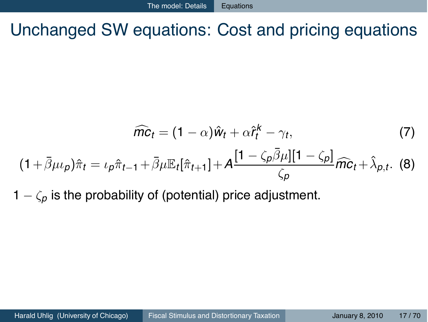Unchanged SW equations: Cost and pricing equations

$$
\widehat{mc}_t = (1 - \alpha)\widehat{w}_t + \alpha \widehat{t}_t^k - \gamma_t, \tag{7}
$$
\n
$$
(1 + \overline{\beta}\mu \nu_p)\widehat{\pi}_t = \nu_p \widehat{\pi}_{t-1} + \overline{\beta}\mu \mathbb{E}_t[\widehat{\pi}_{t+1}] + A \frac{[1 - \zeta_p \overline{\beta}\mu][1 - \zeta_p]}{\zeta_p} \widehat{mc}_t + \widehat{\lambda}_{p,t}. \tag{8}
$$

 $1 - \zeta_p$  is the probability of (potential) price adjustment.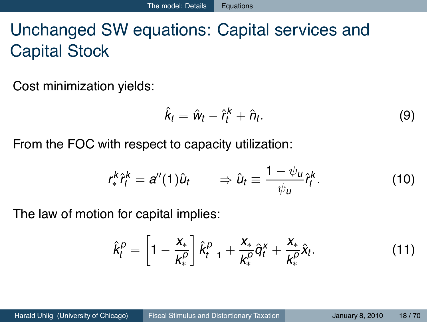# Unchanged SW equations: Capital services and Capital Stock

Cost minimization yields:

$$
\hat{k}_t = \hat{w}_t - \hat{r}_t^k + \hat{n}_t. \tag{9}
$$

From the FOC with respect to capacity utilization:

$$
r_{*}^{k}\hat{r}_{t}^{k}=a''(1)\hat{u}_{t}\qquad\Rightarrow\hat{u}_{t}\equiv\frac{1-\psi_{u}}{\psi_{u}}\hat{r}_{t}^{k}.\tag{10}
$$

The law of motion for capital implies:

$$
\hat{k}_t^p = \left[1 - \frac{x_*}{k_*^p}\right] \hat{k}_{t-1}^p + \frac{x_*}{k_*^p} \hat{q}_t^x + \frac{x_*}{k_*^p} \hat{x}_t.
$$
\n(11)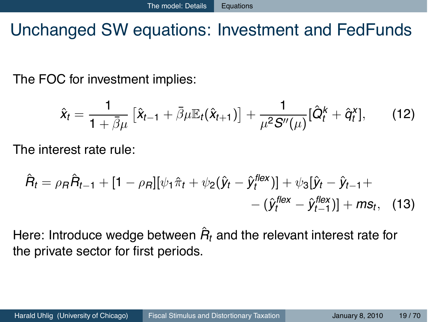# Unchanged SW equations: Investment and FedFunds

The FOC for investment implies:

$$
\hat{x}_t = \frac{1}{1+\bar{\beta}\mu} \left[ \hat{x}_{t-1} + \bar{\beta}\mu \mathbb{E}_t(\hat{x}_{t+1}) \right] + \frac{1}{\mu^2 S''(\mu)} [\hat{Q}_t^k + \hat{q}_t^x], \qquad (12)
$$

The interest rate rule:

$$
\hat{H}_t = \rho_B \hat{H}_{t-1} + [1 - \rho_B][\psi_1 \hat{\pi}_t + \psi_2(\hat{y}_t - \hat{y}_t^{\text{flex}})] + \psi_3[\hat{y}_t - \hat{y}_{t-1} + -(\hat{y}_t^{\text{flex}} - \hat{y}_{t-1}^{\text{flex}})] + ms_t, \quad (13)
$$

Here: Introduce wedge between  $\hat{R}_t$  and the relevant interest rate for the private sector for first periods.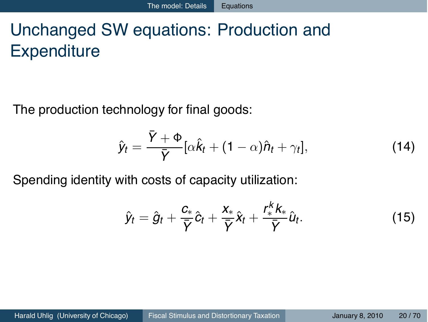# Unchanged SW equations: Production and **Expenditure**

The production technology for final goods:

$$
\hat{y}_t = \frac{\bar{Y} + \Phi}{\bar{Y}} [\alpha \hat{k}_t + (1 - \alpha)\hat{n}_t + \gamma_t], \qquad (14)
$$

Spending identity with costs of capacity utilization:

$$
\hat{y}_t = \hat{g}_t + \frac{c_*}{\overline{Y}}\hat{c}_t + \frac{x_*}{\overline{Y}}\hat{x}_t + \frac{r_*^k k_*}{\overline{Y}}\hat{u}_t.
$$
\n(15)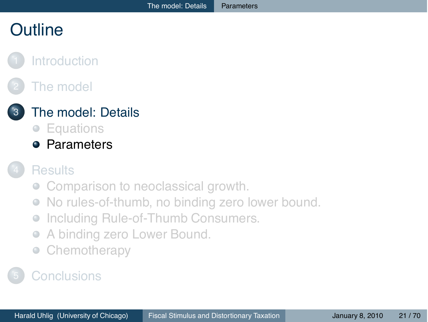## **Outline**

### **[Introduction](#page-2-0)**

## [The model](#page-7-0)

### [The model: Details](#page-11-0)

- [Equations](#page-12-0)
- **•** [Parameters](#page-20-0)

#### **[Results](#page-24-0)**

- [Comparison to neoclassical growth.](#page-25-0)
- [No rules-of-thumb, no binding zero lower bound.](#page-29-0)  $\begin{array}{ccc} \bullet & \bullet & \bullet \\ \bullet & \bullet & \bullet \end{array}$
- [Including Rule-of-Thumb Consumers.](#page-37-0)  $\qquad \qquad \bullet$
- [A binding zero Lower Bound.](#page-45-0)  $\qquad \qquad \bullet$
- <span id="page-20-0"></span>[Chemotherapy](#page-53-0)  $\qquad \qquad \bullet$

## **[Conclusions](#page-68-0)**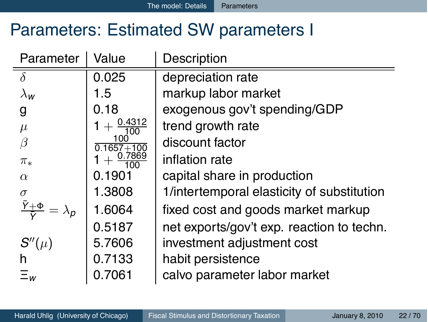## Parameters: Estimated SW parameters I

| Parameter     | Value                 | Description                                |
|---------------|-----------------------|--------------------------------------------|
| $\delta$      | 0.025                 | depreciation rate                          |
| $\lambda_{w}$ | 1.5                   | markup labor market                        |
| g             | 0.18                  | exogenous gov't spending/GDP               |
| $\mu$         | $\frac{0.4312}{100}$  | trend growth rate                          |
| $\beta$       | 100<br>$0.1657 + 100$ | discount factor                            |
| $\pi_*$       | 0.7869                | inflation rate                             |
| $\alpha$      | 0.1901                | capital share in production                |
| $\sigma$      | 1.3808                | 1/intertemporal elasticity of substitution |
|               | 1.6064                | fixed cost and goods market markup         |
|               | 0.5187                | net exports/gov't exp. reaction to techn.  |
| $S''(\mu)$    | 5.7606                | investment adjustment cost                 |
| h             | 0.7133                | habit persistence                          |
| $\equiv_w$    | 0.7061                | calvo parameter labor market               |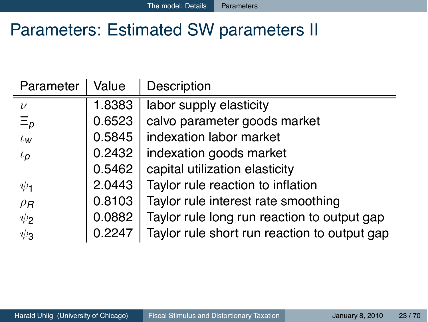## Parameters: Estimated SW parameters II

| Parameter   | Value  | Description                                  |
|-------------|--------|----------------------------------------------|
| $\nu$       | 1.8383 | labor supply elasticity                      |
| $\Xi_p$     | 0.6523 | calvo parameter goods market                 |
| $\iota_{w}$ | 0.5845 | indexation labor market                      |
| $\iota_p$   | 0.2432 | indexation goods market                      |
|             | 0.5462 | capital utilization elasticity               |
| $\psi_1$    | 2.0443 | Taylor rule reaction to inflation            |
| $\rho_R$    | 0.8103 | Taylor rule interest rate smoothing          |
| $\psi_2$    | 0.0882 | Taylor rule long run reaction to output gap  |
| $\psi_3$    | 0.2247 | Taylor rule short run reaction to output gap |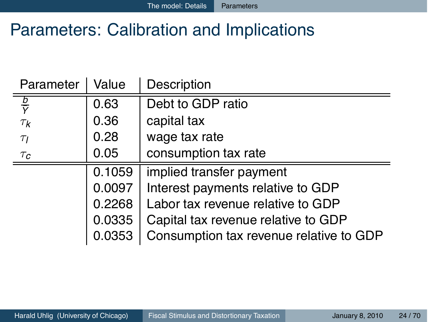## Parameters: Calibration and Implications

| Parameter              | Value  | Description                             |
|------------------------|--------|-----------------------------------------|
| $rac{b}{\overline{Y}}$ | 0.63   | Debt to GDP ratio                       |
| $\tau_{\mathsf{k}}$    | 0.36   | capital tax                             |
| $\tau_I$               | 0.28   | wage tax rate                           |
| $\tau_c$               | 0.05   | consumption tax rate                    |
|                        | 0.1059 | implied transfer payment                |
|                        | 0.0097 | Interest payments relative to GDP       |
|                        | 0.2268 | Labor tax revenue relative to GDP       |
|                        | 0.0335 | Capital tax revenue relative to GDP     |
|                        | 0.0353 | Consumption tax revenue relative to GDP |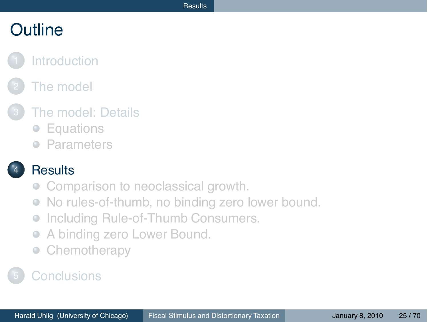## **Outline**

#### **[Introduction](#page-2-0)**

## [The model](#page-7-0)

#### [The model: Details](#page-11-0)

- [Equations](#page-12-0)
- **[Parameters](#page-20-0)**

#### **[Results](#page-24-0)**

- [Comparison to neoclassical growth.](#page-25-0)
- [No rules-of-thumb, no binding zero lower bound.](#page-29-0)  $\bullet$
- [Including Rule-of-Thumb Consumers.](#page-37-0)  $\qquad \qquad \bullet$
- [A binding zero Lower Bound.](#page-45-0)  $\qquad \qquad \bullet$
- <span id="page-24-0"></span>[Chemotherapy](#page-53-0)  $\qquad \qquad \bullet$

### **[Conclusions](#page-68-0)**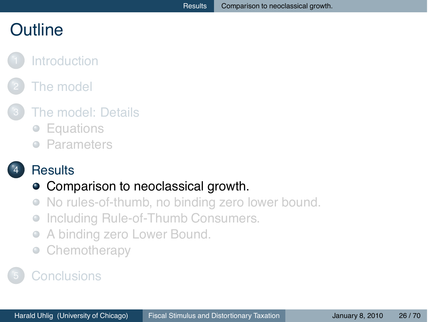## **Outline**

### **[Introduction](#page-2-0)**

## [The model](#page-7-0)

#### [The model: Details](#page-11-0)

- $\bullet$ **[Equations](#page-12-0)**
- [Parameters](#page-20-0)  $\qquad \qquad \Box$

#### **[Results](#page-24-0)**

#### • [Comparison to neoclassical growth.](#page-25-0)

- [No rules-of-thumb, no binding zero lower bound.](#page-29-0)  $\begin{array}{ccc} \bullet & \bullet & \bullet \\ \bullet & \bullet & \bullet \end{array}$
- [Including Rule-of-Thumb Consumers.](#page-37-0)  $\qquad \qquad \bullet$
- [A binding zero Lower Bound.](#page-45-0)  $\qquad \qquad \bullet$
- <span id="page-25-0"></span>[Chemotherapy](#page-53-0)  $\qquad \qquad \bullet$

### **[Conclusions](#page-68-0)**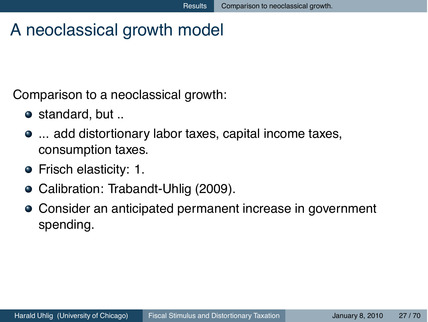# A neoclassical growth model

Comparison to a neoclassical growth:

- $\bullet$  standard, but ..
- ... add distortionary labor taxes, capital income taxes, consumption taxes.
- Frisch elasticity: 1.
- Calibration: Trabandt-Uhlig (2009).
- Consider an anticipated permanent increase in government spending.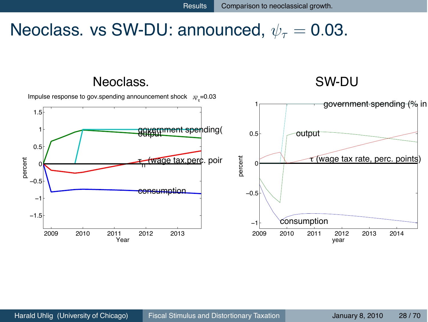## Neoclass. vs SW-DU: announced,  $\psi_{\tau} = 0.03$ .

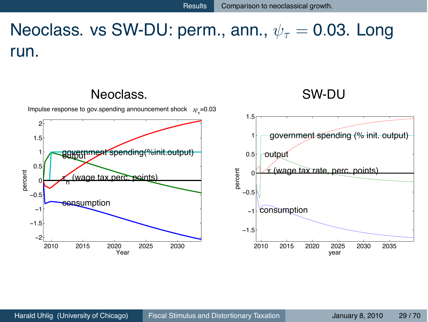# Neoclass. vs SW-DU: perm., ann.,  $\psi_{\tau} = 0.03$ . Long run.

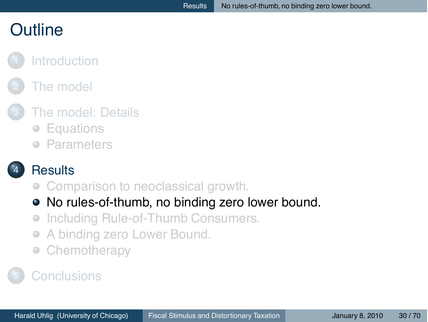## **Outline**

### **[Introduction](#page-2-0)**

## [The model](#page-7-0)

#### [The model: Details](#page-11-0)

- $\bullet$ **[Equations](#page-12-0)**
- [Parameters](#page-20-0)  $\qquad \qquad \Box$

#### **[Results](#page-24-0)**

- [Comparison to neoclassical growth.](#page-25-0)
- [No rules-of-thumb, no binding zero lower bound.](#page-29-0)
- [Including Rule-of-Thumb Consumers.](#page-37-0)  $\qquad \qquad \bullet$
- [A binding zero Lower Bound.](#page-45-0)  $\qquad \qquad \bullet$
- <span id="page-29-0"></span>[Chemotherapy](#page-53-0)  $\qquad \qquad \bullet$

### **[Conclusions](#page-68-0)**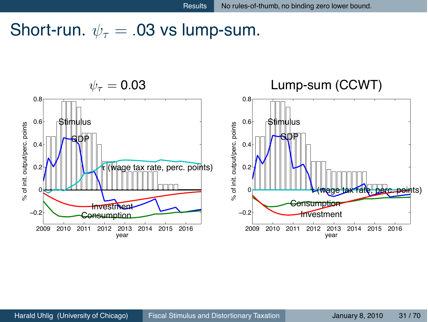## Short-run.  $\psi_{\tau} = .03$  vs lump-sum.

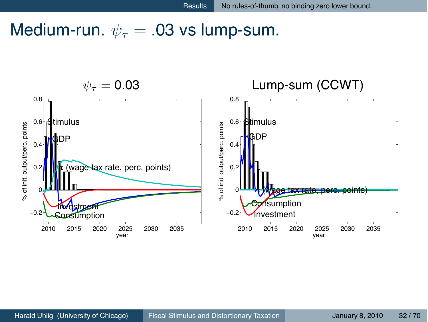## Medium-run.  $\psi_{\tau} = .03$  vs lump-sum.

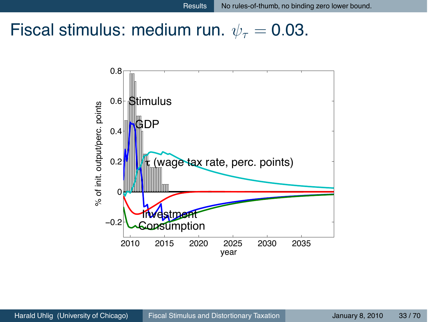## Fiscal stimulus: medium run.  $\psi_{\tau} = 0.03$ .

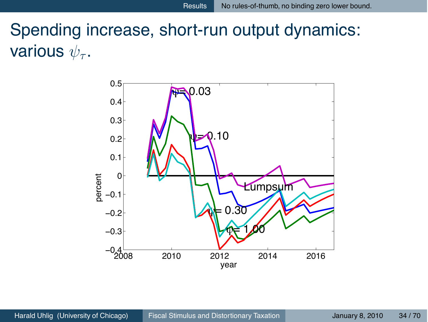# Spending increase, short-run output dynamics: various  $\psi_{\tau}$ .

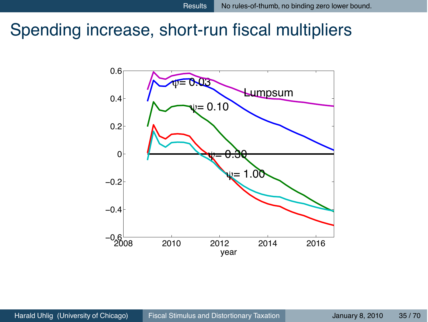## Spending increase, short-run fiscal multipliers

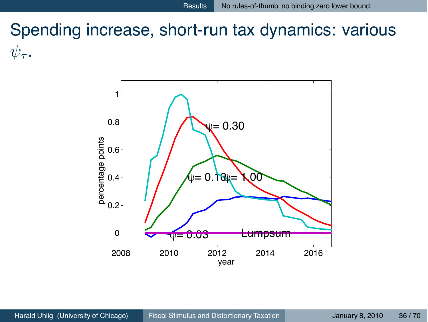# Spending increase, short-run tax dynamics: various  $\psi_{\tau}$ .

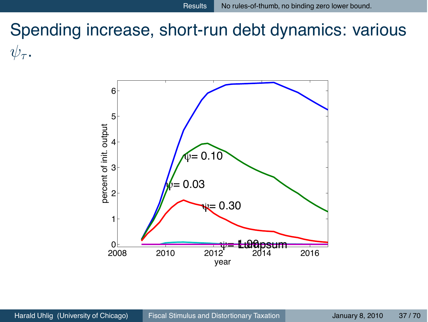# Spending increase, short-run debt dynamics: various  $\psi_{\tau}$ .

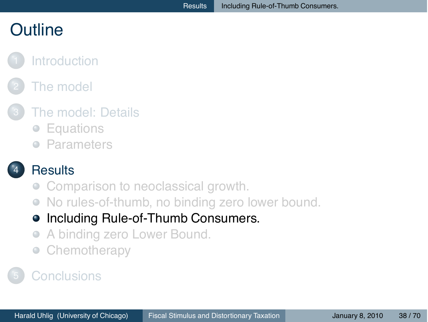## **Outline**

## **[Introduction](#page-2-0)**

## [The model](#page-7-0)

#### [The model: Details](#page-11-0)

- $\bullet$ **[Equations](#page-12-0)**
- [Parameters](#page-20-0)  $\qquad \qquad \Box$

#### **[Results](#page-24-0)**

- [Comparison to neoclassical growth.](#page-25-0)
- [No rules-of-thumb, no binding zero lower bound.](#page-29-0)  $\bullet$
- [Including Rule-of-Thumb Consumers.](#page-37-0)  $\bullet$
- [A binding zero Lower Bound.](#page-45-0)  $\qquad \qquad \bullet$
- <span id="page-37-0"></span>[Chemotherapy](#page-53-0)  $\qquad \qquad \bullet$

#### **[Conclusions](#page-68-0)**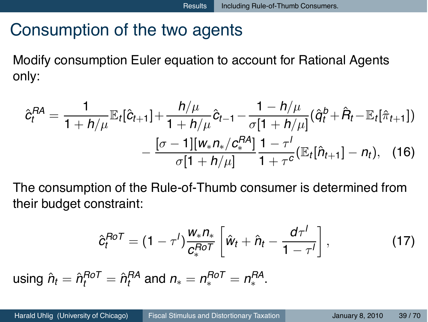## Consumption of the two agents

Modify consumption Euler equation to account for Rational Agents only:

$$
\hat{c}_{t}^{RA} = \frac{1}{1 + h/\mu} \mathbb{E}_{t} [\hat{c}_{t+1}] + \frac{h/\mu}{1 + h/\mu} \hat{c}_{t-1} - \frac{1 - h/\mu}{\sigma [1 + h/\mu]} (\hat{q}_{t}^{b} + \hat{R}_{t} - \mathbb{E}_{t} [\hat{\pi}_{t+1}])
$$

$$
- \frac{[\sigma - 1][w_{*}n_{*}/c_{*}^{RA}]}{\sigma [1 + h/\mu]} \frac{1 - \tau'}{1 + \tau^{c}} (\mathbb{E}_{t} [\hat{n}_{t+1}] - n_{t}), \quad (16)
$$

The consumption of the Rule-of-Thumb consumer is determined from their budget constraint:

$$
\hat{c}_t^{RoT} = (1 - \tau^l) \frac{W_* n_*}{c_*^{RoT}} \left[ \hat{w}_t + \hat{n}_t - \frac{d\tau^l}{1 - \tau^l} \right], \qquad (17)
$$

 $u \sin \theta \hat{n}_t = \hat{n}_t^{RoT} = \hat{n}_t^{RA}$  and  $n_* = n_*^{RoT} = n_*^{RA}$ .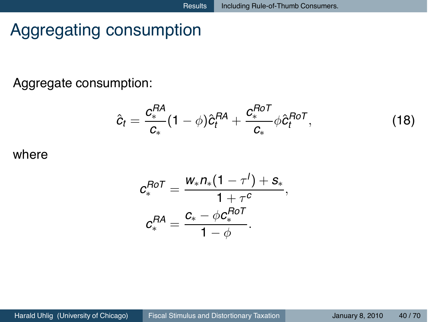# Aggregating consumption

Aggregate consumption:

$$
\hat{c}_t = \frac{c_*^{RA}}{c_*}(1-\phi)\hat{c}_t^{RA} + \frac{c_*^{RoT}}{c_*}\phi\hat{c}_t^{RoT},
$$
\n(18)

where

$$
\mathcal{C}^{Ro\mathcal{T}}_* = \frac{\mathsf{W}_* n_*(1-\tau') + \mathsf{S}_*}{1+\tau^c}, \\ \mathcal{C}^{RA}_* = \frac{\mathcal{C}_* - \phi \mathcal{C}^{Ro\mathcal{T}}_*}{1-\phi}.
$$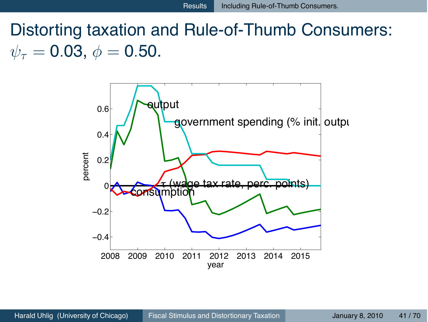Distorting taxation and Rule-of-Thumb Consumers:  $\psi_{\tau} = 0.03, \phi = 0.50.$ 

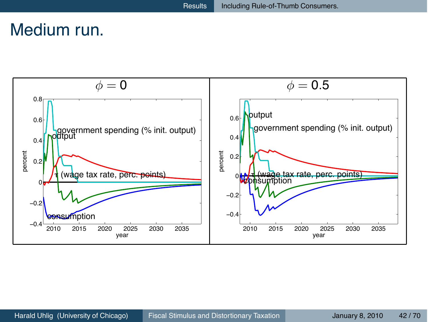## Medium run.

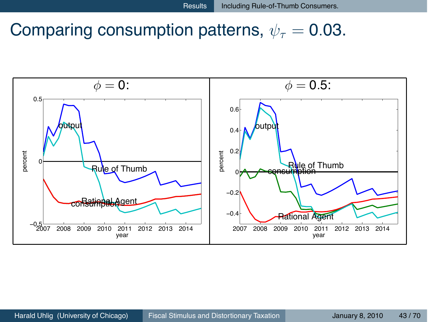## Comparing consumption patterns,  $\psi_{\tau} = 0.03$ .

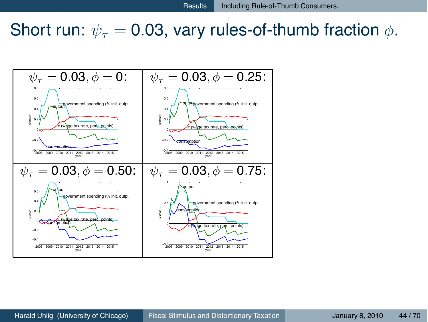## Short run:  $\psi_{\tau} = 0.03$ , vary rules-of-thumb fraction  $\phi$ .

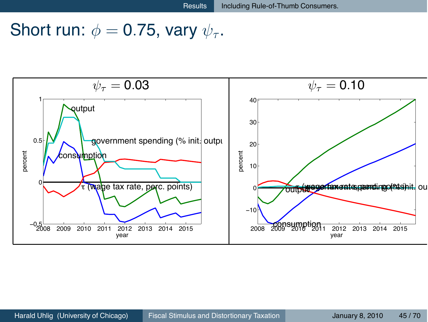## Short run:  $\phi = 0.75$ , vary  $\psi_{\tau}$ .

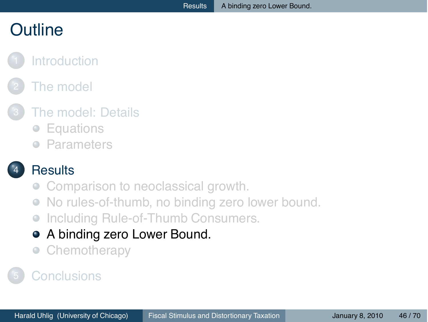## **Outline**

#### **[Introduction](#page-2-0)**

## [The model](#page-7-0)

#### [The model: Details](#page-11-0)

- $\bullet$ **[Equations](#page-12-0)**
- [Parameters](#page-20-0)  $\qquad \qquad \Box$

#### **[Results](#page-24-0)**

- [Comparison to neoclassical growth.](#page-25-0)
- [No rules-of-thumb, no binding zero lower bound.](#page-29-0)  $\bullet$
- [Including Rule-of-Thumb Consumers.](#page-37-0)  $\qquad \qquad \bullet$
- [A binding zero Lower Bound.](#page-45-0)  $\bullet$
- <span id="page-45-0"></span>**[Chemotherapy](#page-53-0)**  $\bullet$

## **[Conclusions](#page-68-0)**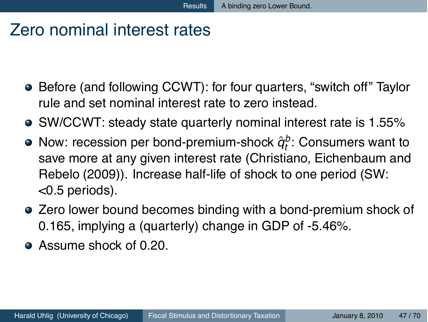## Zero nominal interest rates

- Before (and following CCWT): for four quarters, "switch off" Taylor rule and set nominal interest rate to zero instead.
- SW/CCWT: steady state quarterly nominal interest rate is 1.55%
- Now: recession per bond-premium-shock  $\hat{q}^b_t$ : Consumers want to save more at any given interest rate (Christiano, Eichenbaum and Rebelo (2009)). Increase half-life of shock to one period (SW: <0.5 periods).
- Zero lower bound becomes binding with a bond-premium shock of 0.165, implying a (quarterly) change in GDP of -5.46%.
- Assume shock of 0.20.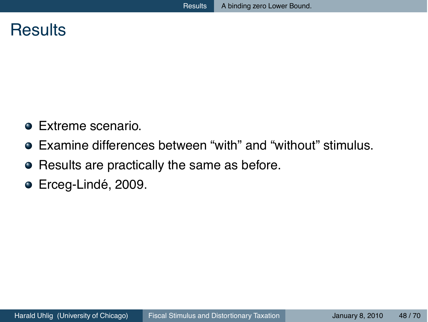#### **Results**

- **•** Extreme scenario.
- Examine differences between "with" and "without" stimulus.
- Results are practically the same as before.
- Erceg-Lindé, 2009.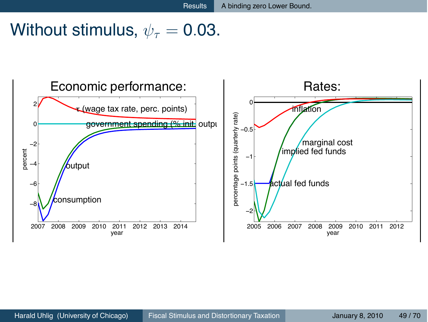## Without stimulus,  $\psi_{\tau} = 0.03$ .

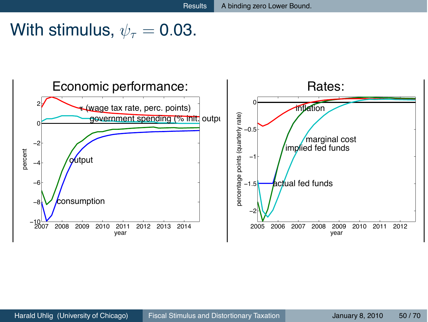## With stimulus,  $\psi_{\tau} = 0.03$ .

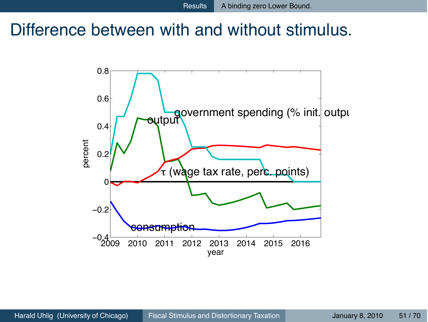## Difference between with and without stimulus.

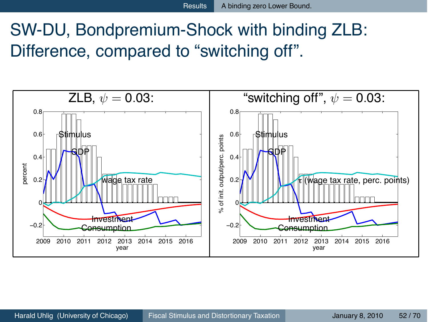# SW-DU, Bondpremium-Shock with binding ZLB: Difference, compared to "switching off".

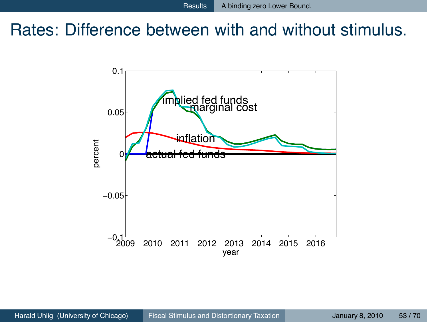## Rates: Difference between with and without stimulus.

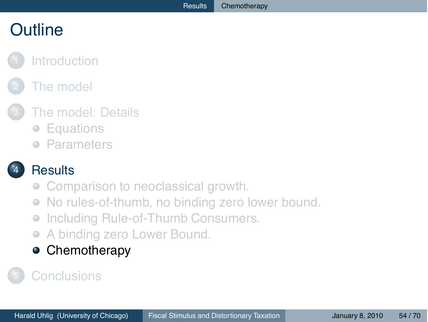# **Outline**

## **[Introduction](#page-2-0)**

## [The model](#page-7-0)

## [The model: Details](#page-11-0)

- $\bullet$ [Equations](#page-12-0)
- **[Parameters](#page-20-0)**

#### **[Results](#page-24-0)**

- [Comparison to neoclassical growth.](#page-25-0)
- [No rules-of-thumb, no binding zero lower bound.](#page-29-0)  $\bullet$
- [Including Rule-of-Thumb Consumers.](#page-37-0)  $\qquad \qquad \bullet$
- [A binding zero Lower Bound.](#page-45-0)  $\qquad \qquad \bullet$

#### <span id="page-53-0"></span>**•** [Chemotherapy](#page-53-0)

## **[Conclusions](#page-68-0)**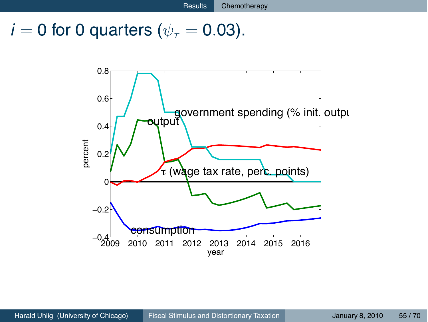## $i = 0$  for 0 quarters ( $\psi_{\tau} = 0.03$ ).

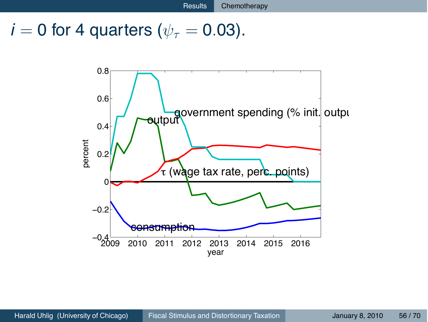## $i = 0$  for 4 quarters ( $\psi_{\tau} = 0.03$ ).

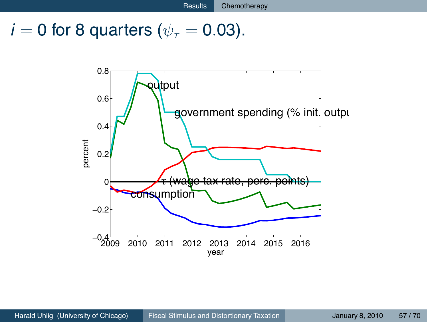## $i = 0$  for 8 quarters ( $\psi_{\tau} = 0.03$ ).

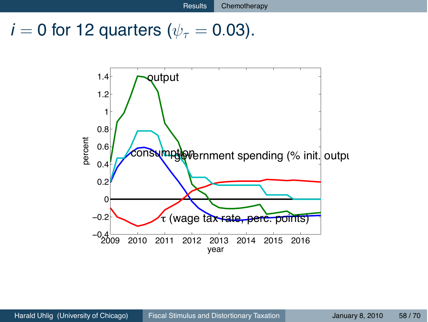$i = 0$  for 12 quarters ( $\psi_{\tau} = 0.03$ ).

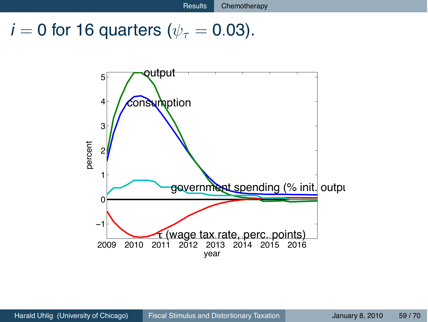$i = 0$  for 16 quarters ( $\psi_{\tau} = 0.03$ ).

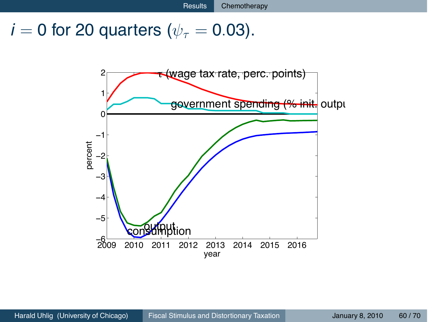$i = 0$  for 20 quarters ( $\psi_{\tau} = 0.03$ ).

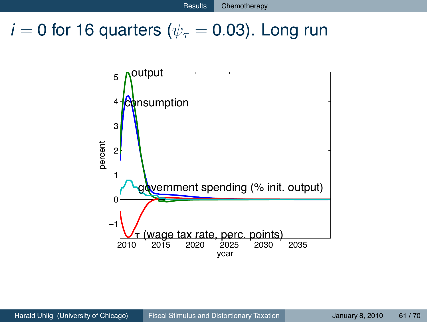## $i = 0$  for 16 quarters ( $\psi_{\tau} = 0.03$ ). Long run

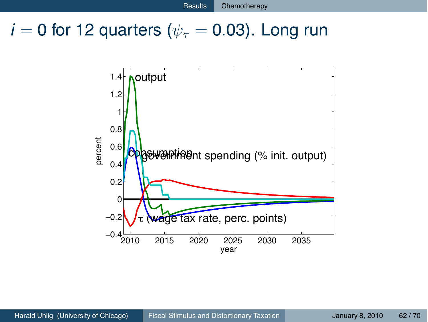## $i = 0$  for 12 quarters ( $\psi_{\tau} = 0.03$ ). Long run

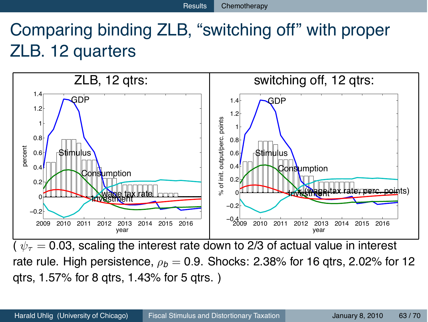# Comparing binding ZLB, "switching off" with proper ZLB. 12 quarters



 $\sqrt{(v_{\tau} = 0.03)}$ , scaling the interest rate down to 2/3 of actual value in interest rate rule. High persistence,  $\rho_b = 0.9$ . Shocks: 2.38% for 16 gtrs, 2.02% for 12 qtrs, 1.57% for 8 qtrs, 1.43% for 5 qtrs. )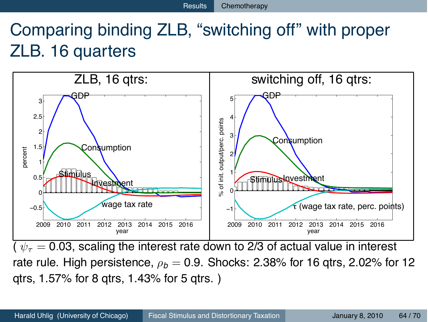# Comparing binding ZLB, "switching off" with proper ZLB. 16 quarters



 $\sqrt{(v_{\tau}^2-0.03)}$ , scaling the interest rate down to 2/3 of actual value in interest rate rule. High persistence,  $\rho_b = 0.9$ . Shocks: 2.38% for 16 qtrs, 2.02% for 12 qtrs, 1.57% for 8 qtrs, 1.43% for 5 qtrs. )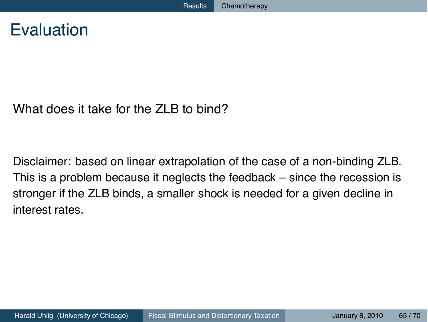## Evaluation

#### What does it take for the ZLB to bind?

Disclaimer: based on linear extrapolation of the case of a non-binding ZLB. This is a problem because it neglects the feedback – since the recession is stronger if the ZLB binds, a smaller shock is needed for a given decline in interest rates.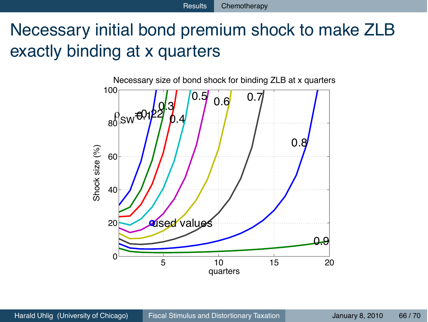# Necessary initial bond premium shock to make ZLB exactly binding at x quarters

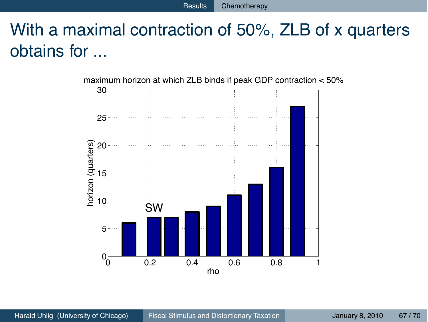# With a maximal contraction of 50%, ZLB of x quarters obtains for ...

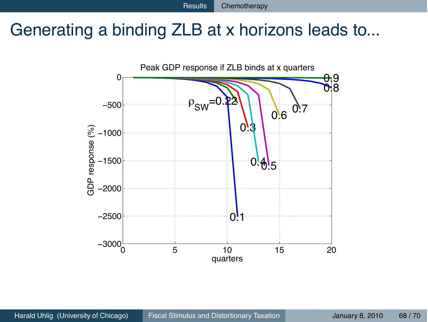## Generating a binding ZLB at x horizons leads to...

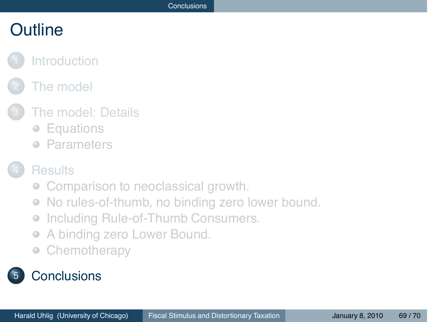## **Outline**

## **[Introduction](#page-2-0)**

## [The model](#page-7-0)

#### [The model: Details](#page-11-0)

- [Equations](#page-12-0)
- **[Parameters](#page-20-0)**

#### **[Results](#page-24-0)**

- [Comparison to neoclassical growth.](#page-25-0)
- [No rules-of-thumb, no binding zero lower bound.](#page-29-0)  $\begin{array}{ccc} \bullet & \bullet & \bullet \\ \bullet & \bullet & \bullet \end{array}$
- [Including Rule-of-Thumb Consumers.](#page-37-0)  $\qquad \qquad \bullet$
- [A binding zero Lower Bound.](#page-45-0)  $\qquad \qquad \bullet$
- <span id="page-68-0"></span>**[Chemotherapy](#page-53-0)**  $\bullet$

## **[Conclusions](#page-68-0)**